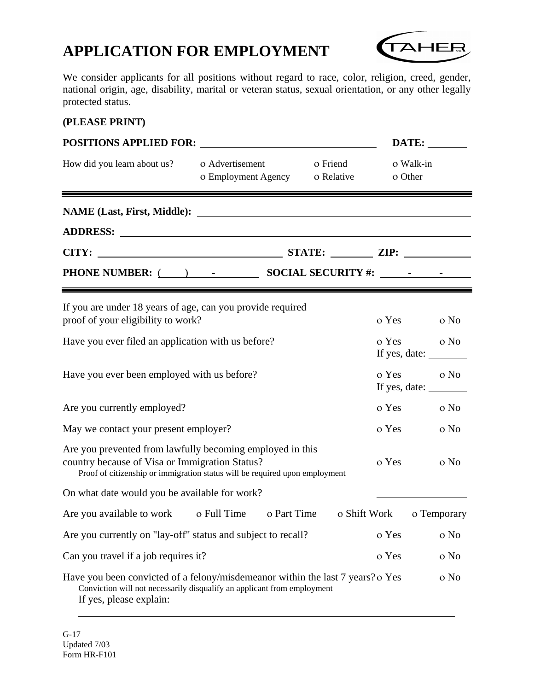# **APPLICATION FOR EMPLOYMENT**



We consider applicants for all positions without regard to race, color, religion, creed, gender, national origin, age, disability, marital or veteran status, sexual orientation, or any other legally protected status.

#### **(PLEASE PRINT)**

| <b>POSITIONS APPLIED FOR:</b>                                                                                                                                                              |                                                   |              |         | DATE:                                                                            |
|--------------------------------------------------------------------------------------------------------------------------------------------------------------------------------------------|---------------------------------------------------|--------------|---------|----------------------------------------------------------------------------------|
| How did you learn about us?                                                                                                                                                                | o Advertisement<br>o Employment Agency o Relative | o Friend     | o Other | o Walk-in                                                                        |
|                                                                                                                                                                                            |                                                   |              |         |                                                                                  |
|                                                                                                                                                                                            |                                                   |              |         |                                                                                  |
|                                                                                                                                                                                            |                                                   |              |         |                                                                                  |
| PHONE NUMBER: ( ) - SOCIAL SECURITY #: _________                                                                                                                                           |                                                   |              |         |                                                                                  |
| If you are under 18 years of age, can you provide required<br>proof of your eligibility to work?                                                                                           |                                                   |              | o Yes   | o No                                                                             |
| Have you ever filed an application with us before?                                                                                                                                         |                                                   |              | o Yes   | o No<br>If yes, date:                                                            |
| Have you ever been employed with us before?                                                                                                                                                |                                                   |              | o Yes   | o No<br>If yes, date: $\sqrt{\frac{1}{2} \sum_{i=1}^{n} x_i^2 + \cdots + x_n^2}$ |
| Are you currently employed?                                                                                                                                                                |                                                   |              | o Yes   | o No                                                                             |
| May we contact your present employer?                                                                                                                                                      |                                                   |              | o Yes   | o No                                                                             |
| Are you prevented from lawfully becoming employed in this<br>country because of Visa or Immigration Status?<br>Proof of citizenship or immigration status will be required upon employment |                                                   |              | o Yes   | o No                                                                             |
| On what date would you be available for work?                                                                                                                                              |                                                   |              |         |                                                                                  |
| Are you available to work o Full Time o Part Time                                                                                                                                          |                                                   | o Shift Work |         | o Temporary                                                                      |
| Are you currently on "lay-off" status and subject to recall?                                                                                                                               |                                                   |              | o Yes   | o No                                                                             |
| Can you travel if a job requires it?                                                                                                                                                       |                                                   |              | o Yes   | o No                                                                             |
| Have you been convicted of a felony/misdemeanor within the last 7 years? o Yes<br>Conviction will not necessarily disqualify an applicant from employment<br>If yes, please explain:       |                                                   |              |         | o No                                                                             |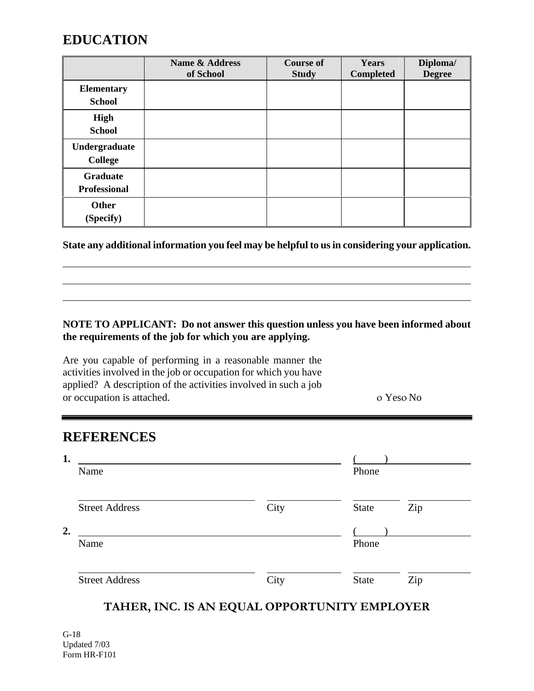## **EDUCATION**

|                                        | Name & Address<br>of School | <b>Course of</b><br><b>Study</b> | Years<br><b>Completed</b> | Diploma/<br><b>Degree</b> |
|----------------------------------------|-----------------------------|----------------------------------|---------------------------|---------------------------|
| <b>Elementary</b><br><b>School</b>     |                             |                                  |                           |                           |
| High<br><b>School</b>                  |                             |                                  |                           |                           |
| Undergraduate<br><b>College</b>        |                             |                                  |                           |                           |
| <b>Graduate</b><br><b>Professional</b> |                             |                                  |                           |                           |
| <b>Other</b><br>(Specify)              |                             |                                  |                           |                           |

**State any additional information you feel may be helpful to us in considering your application.**

#### **NOTE TO APPLICANT: Do not answer this question unless you have been informed about the requirements of the job for which you are applying.**

Are you capable of performing in a reasonable manner the activities involved in the job or occupation for which you have applied? A description of the activities involved in such a job or occupation is attached. ο Yesο No

### **REFERENCES**

| 1. | Name                  |      | Phone        |     |
|----|-----------------------|------|--------------|-----|
|    | <b>Street Address</b> | City | <b>State</b> | Zip |
| 2. | Name                  |      | Phone        |     |
|    | <b>Street Address</b> | City | <b>State</b> | Zip |

### **TAHER, INC. IS AN EQUAL OPPORTUNITY EMPLOYER**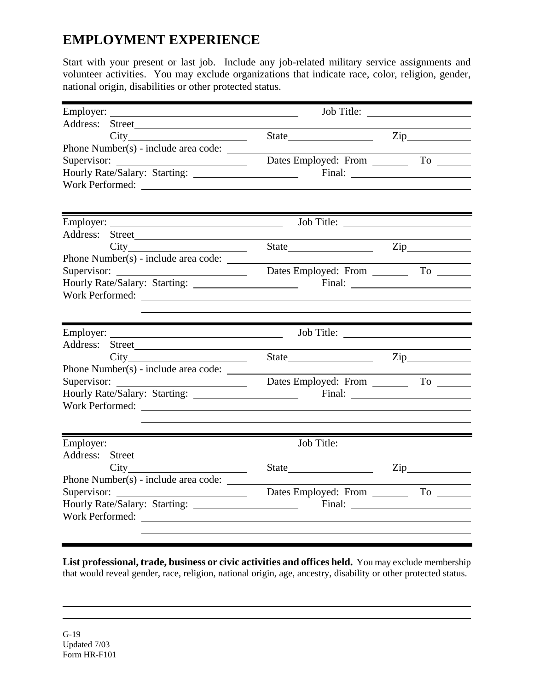# **EMPLOYMENT EXPERIENCE**

Start with your present or last job. Include any job-related military service assignments and volunteer activities. You may exclude organizations that indicate race, color, religion, gender, national origin, disabilities or other protected status.

| Employer:                            |                                                                                                                                                                                                                                                                                                                                                                                                                                                   |
|--------------------------------------|---------------------------------------------------------------------------------------------------------------------------------------------------------------------------------------------------------------------------------------------------------------------------------------------------------------------------------------------------------------------------------------------------------------------------------------------------|
| Address: Street                      |                                                                                                                                                                                                                                                                                                                                                                                                                                                   |
|                                      | State Zip                                                                                                                                                                                                                                                                                                                                                                                                                                         |
| Phone Number(s) - include area code: |                                                                                                                                                                                                                                                                                                                                                                                                                                                   |
| Hourly Rate/Salary: Starting:        | Final: $\frac{1}{\sqrt{1-\frac{1}{2}} \cdot \frac{1}{2} \cdot \frac{1}{2} \cdot \frac{1}{2} \cdot \frac{1}{2} \cdot \frac{1}{2} \cdot \frac{1}{2} \cdot \frac{1}{2} \cdot \frac{1}{2} \cdot \frac{1}{2} \cdot \frac{1}{2} \cdot \frac{1}{2} \cdot \frac{1}{2} \cdot \frac{1}{2} \cdot \frac{1}{2} \cdot \frac{1}{2} \cdot \frac{1}{2} \cdot \frac{1}{2} \cdot \frac{1}{2} \cdot \frac{1}{2} \cdot \frac{1}{2} \cdot \frac{1}{2} \cdot \frac{1}{2$ |
| Work Performed:                      | <u> 1980 - Johann Barn, mars ann an t-Amhair ann an t-</u>                                                                                                                                                                                                                                                                                                                                                                                        |
|                                      |                                                                                                                                                                                                                                                                                                                                                                                                                                                   |
|                                      |                                                                                                                                                                                                                                                                                                                                                                                                                                                   |
| Address:                             |                                                                                                                                                                                                                                                                                                                                                                                                                                                   |
|                                      | State Zip                                                                                                                                                                                                                                                                                                                                                                                                                                         |
| Phone Number(s) - include area code: |                                                                                                                                                                                                                                                                                                                                                                                                                                                   |
| Supervisor:                          | Dates Employed: From To To                                                                                                                                                                                                                                                                                                                                                                                                                        |
|                                      |                                                                                                                                                                                                                                                                                                                                                                                                                                                   |
| Work Performed:                      |                                                                                                                                                                                                                                                                                                                                                                                                                                                   |
|                                      |                                                                                                                                                                                                                                                                                                                                                                                                                                                   |
|                                      |                                                                                                                                                                                                                                                                                                                                                                                                                                                   |
|                                      |                                                                                                                                                                                                                                                                                                                                                                                                                                                   |
| Address: Street                      |                                                                                                                                                                                                                                                                                                                                                                                                                                                   |
|                                      |                                                                                                                                                                                                                                                                                                                                                                                                                                                   |
| Phone Number(s) - include area code: |                                                                                                                                                                                                                                                                                                                                                                                                                                                   |
|                                      |                                                                                                                                                                                                                                                                                                                                                                                                                                                   |
|                                      |                                                                                                                                                                                                                                                                                                                                                                                                                                                   |
|                                      |                                                                                                                                                                                                                                                                                                                                                                                                                                                   |
|                                      |                                                                                                                                                                                                                                                                                                                                                                                                                                                   |
|                                      |                                                                                                                                                                                                                                                                                                                                                                                                                                                   |
|                                      |                                                                                                                                                                                                                                                                                                                                                                                                                                                   |
| City                                 | State<br>Zip and the same state of the state of the state of the state of the state of the state of the state of the state of the state of the state of the state of the state of the state of the state of the state of the state of t                                                                                                                                                                                                           |
| Phone Number(s) - include area code: |                                                                                                                                                                                                                                                                                                                                                                                                                                                   |
| Supervisor:                          | Dates Employed: From _______                                                                                                                                                                                                                                                                                                                                                                                                                      |
|                                      |                                                                                                                                                                                                                                                                                                                                                                                                                                                   |
| Work Performed:                      |                                                                                                                                                                                                                                                                                                                                                                                                                                                   |

**List professional, trade, business or civic activities and offices held.** You may exclude membership that would reveal gender, race, religion, national origin, age, ancestry, disability or other protected status.